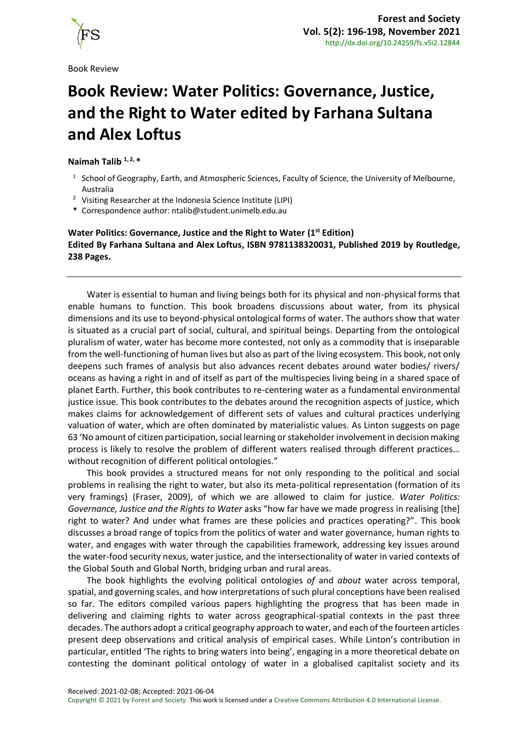

Book Review

## **Book Review: Water Politics: Governance, Justice, and the Right to Water edited by Farhana Sultana and Alex Loftus**

## **Naimah Talib 1, 2, \***

- <sup>1</sup> School of Geography, Earth, and Atmospheric Sciences, Faculty of Science, the University of Melbourne, Australia
- <sup>2</sup> Visiting Researcher at the Indonesia Science Institute (LIPI)
- **\*** Correspondence author[: ntalib@student.unimelb.edu.au](mailto:ntalib@student.unimelb.edu.au)

## **Water Politics: Governance, Justice and the Right to Water (1st Edition) Edited By Farhana Sultana and Alex Loftus, ISBN 9781138320031, Published 2019 by Routledge, 238 Pages.**

Water is essential to human and living beings both for its physical and non-physical forms that enable humans to function. This book broadens discussions about water, from its physical dimensions and its use to beyond-physical ontological forms of water. The authors show that water is situated as a crucial part of social, cultural, and spiritual beings. Departing from the ontological pluralism of water, water has become more contested, not only as a commodity that is inseparable from the well-functioning of human lives but also as part of the living ecosystem. This book, not only deepens such frames of analysis but also advances recent debates around water bodies/ rivers/ oceans as having a right in and of itself as part of the multispecies living being in a shared space of planet Earth. Further, this book contributes to re-centering water as a fundamental environmental justice issue. This book contributes to the debates around the recognition aspects of justice, which makes claims for acknowledgement of different sets of values and cultural practices underlying valuation of water, which are often dominated by materialistic values. As Linton suggests on page 63 'No amount of citizen participation, social learning or stakeholder involvement in decision making process is likely to resolve the problem of different waters realised through different practices… without recognition of different political ontologies."

This book provides a structured means for not only responding to the political and social problems in realising the right to water, but also its meta-political representation (formation of its very framings) (Fraser, 2009), of which we are allowed to claim for justice. *Water Politics: Governance, Justice and the Rights to Water* asks "how far have we made progress in realising [the] right to water? And under what frames are these policies and practices operating?". This book discusses a broad range of topics from the politics of water and water governance, human rights to water, and engages with water through the capabilities framework, addressing key issues around the water-food security nexus, water justice, and the intersectionality of water in varied contexts of the Global South and Global North, bridging urban and rural areas.

The book highlights the evolving political ontologies *of* and *about* water across temporal, spatial, and governing scales, and how interpretations of such plural conceptions have been realised so far. The editors compiled various papers highlighting the progress that has been made in delivering and claiming rights to water across geographical-spatial contexts in the past three decades. The authors adopt a critical geography approach to water, and each of the fourteen articles present deep observations and critical analysis of empirical cases. While Linton's contribution in particular, entitled 'The rights to bring waters into being', engaging in a more theoretical debate on contesting the dominant political ontology of water in a globalised capitalist society and its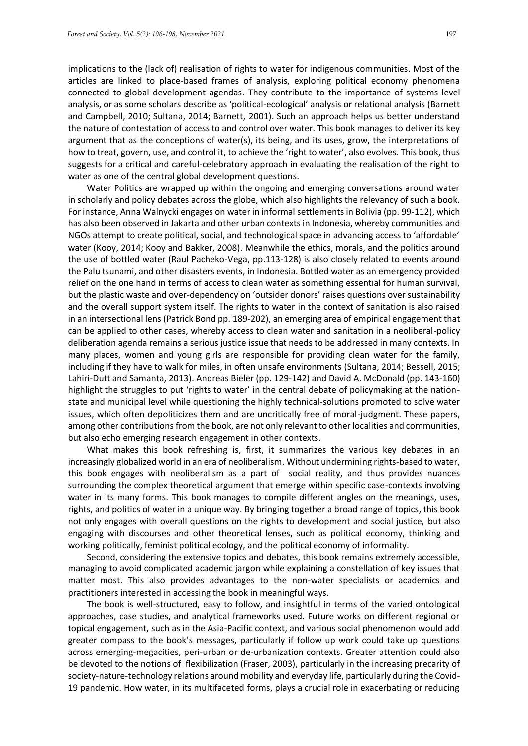implications to the (lack of) realisation of rights to water for indigenous communities. Most of the articles are linked to place-based frames of analysis, exploring political economy phenomena connected to global development agendas. They contribute to the importance of systems-level analysis, or as some scholars describe as 'political-ecological' analysis or relational analysis (Barnett and Campbell, 2010; Sultana, 2014; Barnett, 2001). Such an approach helps us better understand the nature of contestation of access to and control over water. This book manages to deliver its key argument that as the conceptions of water(s), its being, and its uses, grow, the interpretations of how to treat, govern, use, and control it, to achieve the 'right to water', also evolves. This book, thus suggests for a critical and careful-celebratory approach in evaluating the realisation of the right to water as one of the central global development questions.

Water Politics are wrapped up within the ongoing and emerging conversations around water in scholarly and policy debates across the globe, which also highlights the relevancy of such a book. For instance, Anna Walnycki engages on water in informal settlements in Bolivia (pp. 99-112), which has also been observed in Jakarta and other urban contexts in Indonesia, whereby communities and NGOs attempt to create political, social, and technological space in advancing access to 'affordable' water (Kooy, 2014; Kooy and Bakker, 2008). Meanwhile the ethics, morals, and the politics around the use of bottled water (Raul Pacheko-Vega, pp.113-128) is also closely related to events around the Palu tsunami, and other disasters events, in Indonesia. Bottled water as an emergency provided relief on the one hand in terms of access to clean water as something essential for human survival, but the plastic waste and over-dependency on 'outsider donors' raises questions over sustainability and the overall support system itself. The rights to water in the context of sanitation is also raised in an intersectional lens (Patrick Bond pp. 189-202), an emerging area of empirical engagement that can be applied to other cases, whereby access to clean water and sanitation in a neoliberal-policy deliberation agenda remains a serious justice issue that needs to be addressed in many contexts. In many places, women and young girls are responsible for providing clean water for the family, including if they have to walk for miles, in often unsafe environments (Sultana, 2014; Bessell, 2015; Lahiri-Dutt and Samanta, 2013). Andreas Bieler (pp. 129-142) and David A. McDonald (pp. 143-160) highlight the struggles to put 'rights to water' in the central debate of policymaking at the nationstate and municipal level while questioning the highly technical-solutions promoted to solve water issues, which often depoliticizes them and are uncritically free of moral-judgment. These papers, among other contributions from the book, are not only relevant to other localities and communities, but also echo emerging research engagement in other contexts.

What makes this book refreshing is, first, it summarizes the various key debates in an increasingly globalized world in an era of neoliberalism. Without undermining rights-based to water, this book engages with neoliberalism as a part of social reality, and thus provides nuances surrounding the complex theoretical argument that emerge within specific case-contexts involving water in its many forms. This book manages to compile different angles on the meanings, uses, rights, and politics of water in a unique way. By bringing together a broad range of topics, this book not only engages with overall questions on the rights to development and social justice, but also engaging with discourses and other theoretical lenses, such as political economy, thinking and working politically, feminist political ecology, and the political economy of informality.

Second, considering the extensive topics and debates, this book remains extremely accessible, managing to avoid complicated academic jargon while explaining a constellation of key issues that matter most. This also provides advantages to the non-water specialists or academics and practitioners interested in accessing the book in meaningful ways.

The book is well-structured, easy to follow, and insightful in terms of the varied ontological approaches, case studies, and analytical frameworks used. Future works on different regional or topical engagement, such as in the Asia-Pacific context, and various social phenomenon would add greater compass to the book's messages, particularly if follow up work could take up questions across emerging-megacities, peri-urban or de-urbanization contexts. Greater attention could also be devoted to the notions of flexibilization (Fraser, 2003), particularly in the increasing precarity of society-nature-technology relations around mobility and everyday life, particularly during the Covid-19 pandemic. How water, in its multifaceted forms, plays a crucial role in exacerbating or reducing